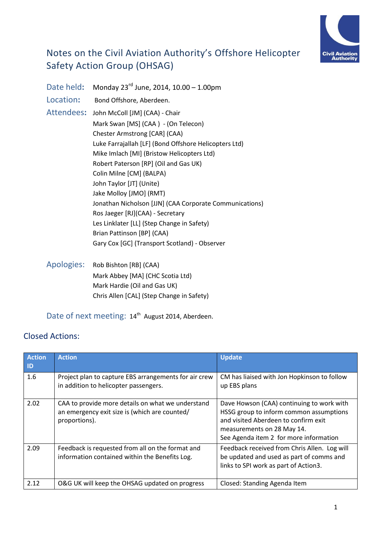

# Notes on the Civil Aviation Authority's Offshore Helicopter Safety Action Group (OHSAG)

Date held**:** Monday 23rd June, 2014, 10.00 – 1.00pm Location: Bond Offshore, Aberdeen. Attendees**:** John McColl [JM] (CAA) - Chair Mark Swan [MS] (CAA ) - (On Telecon) Chester Armstrong [CAR] (CAA) Luke Farrajallah [LF] (Bond Offshore Helicopters Ltd) Mike Imlach [MI] (Bristow Helicopters Ltd) Robert Paterson [RP] (Oil and Gas UK) Colin Milne [CM] (BALPA) John Taylor [JT] (Unite) Jake Molloy [JMO] (RMT) Jonathan Nicholson [JJN] (CAA Corporate Communications) Ros Jaeger [RJ](CAA) - Secretary Les Linklater [LL] (Step Change in Safety) Brian Pattinson [BP] (CAA) Gary Cox [GC] (Transport Scotland) - Observer

Apologies: Rob Bishton [RB] (CAA) Mark Abbey [MA] (CHC Scotia Ltd) Mark Hardie (Oil and Gas UK) Chris Allen [CAL] (Step Change in Safety)

### Date of next meeting: 14<sup>th</sup> August 2014, Aberdeen.

### Closed Actions:

| <b>Action</b><br>ID | <b>Action</b>                                                                                                       | <b>Update</b>                                                                                                                                                                                        |
|---------------------|---------------------------------------------------------------------------------------------------------------------|------------------------------------------------------------------------------------------------------------------------------------------------------------------------------------------------------|
| 1.6                 | Project plan to capture EBS arrangements for air crew<br>in addition to helicopter passengers.                      | CM has liaised with Jon Hopkinson to follow<br>up EBS plans                                                                                                                                          |
| 2.02                | CAA to provide more details on what we understand<br>an emergency exit size is (which are counted/<br>proportions). | Dave Howson (CAA) continuing to work with<br>HSSG group to inform common assumptions<br>and visited Aberdeen to confirm exit<br>measurements on 28 May 14.<br>See Agenda item 2 for more information |
| 2.09                | Feedback is requested from all on the format and<br>information contained within the Benefits Log.                  | Feedback received from Chris Allen. Log will<br>be updated and used as part of comms and<br>links to SPI work as part of Action3.                                                                    |
| 2.12                | O&G UK will keep the OHSAG updated on progress                                                                      | Closed: Standing Agenda Item                                                                                                                                                                         |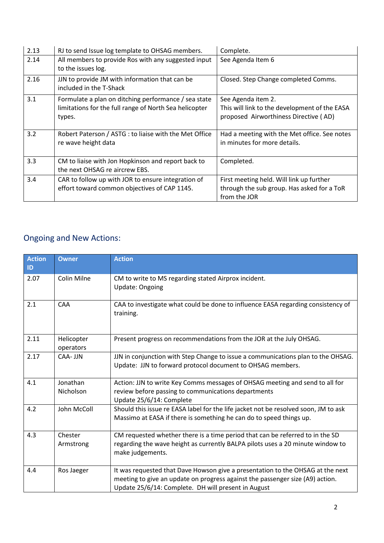| 2.13 | RJ to send Issue log template to OHSAG members.                                                                          | Complete.                                                                                                    |
|------|--------------------------------------------------------------------------------------------------------------------------|--------------------------------------------------------------------------------------------------------------|
| 2.14 | All members to provide Ros with any suggested input<br>to the issues log.                                                | See Agenda Item 6                                                                                            |
| 2.16 | JJN to provide JM with information that can be<br>included in the T-Shack                                                | Closed. Step Change completed Comms.                                                                         |
| 3.1  | Formulate a plan on ditching performance / sea state<br>limitations for the full range of North Sea helicopter<br>types. | See Agenda item 2.<br>This will link to the development of the EASA<br>proposed Airworthiness Directive (AD) |
| 3.2  | Robert Paterson / ASTG : to liaise with the Met Office<br>re wave height data                                            | Had a meeting with the Met office. See notes<br>in minutes for more details.                                 |
| 3.3  | CM to liaise with Jon Hopkinson and report back to<br>the next OHSAG re aircrew EBS.                                     | Completed.                                                                                                   |
| 3.4  | CAR to follow up with JOR to ensure integration of<br>effort toward common objectives of CAP 1145.                       | First meeting held. Will link up further<br>through the sub group. Has asked for a ToR<br>from the JOR       |

# Ongoing and New Actions:

| <b>Action</b><br>ID | <b>Owner</b>            | <b>Action</b>                                                                                                                                                                                                          |
|---------------------|-------------------------|------------------------------------------------------------------------------------------------------------------------------------------------------------------------------------------------------------------------|
| 2.07                | Colin Milne             | CM to write to MS regarding stated Airprox incident.<br><b>Update: Ongoing</b>                                                                                                                                         |
| 2.1                 | CAA                     | CAA to investigate what could be done to influence EASA regarding consistency of<br>training.                                                                                                                          |
| 2.11                | Helicopter<br>operators | Present progress on recommendations from the JOR at the July OHSAG.                                                                                                                                                    |
| 2.17                | CAA- JJN                | JJN in conjunction with Step Change to issue a communications plan to the OHSAG.<br>Update: JJN to forward protocol document to OHSAG members.                                                                         |
| 4.1                 | Jonathan<br>Nicholson   | Action: JJN to write Key Comms messages of OHSAG meeting and send to all for<br>review before passing to communications departments<br>Update 25/6/14: Complete                                                        |
| 4.2                 | John McColl             | Should this issue re EASA label for the life jacket not be resolved soon, JM to ask<br>Massimo at EASA if there is something he can do to speed things up.                                                             |
| 4.3                 | Chester<br>Armstrong    | CM requested whether there is a time period that can be referred to in the SD<br>regarding the wave height as currently BALPA pilots uses a 20 minute window to<br>make judgements.                                    |
| 4.4                 | Ros Jaeger              | It was requested that Dave Howson give a presentation to the OHSAG at the next<br>meeting to give an update on progress against the passenger size (A9) action.<br>Update 25/6/14: Complete. DH will present in August |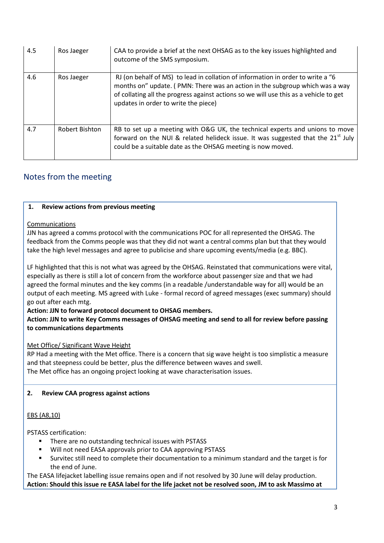| 4.5 | Ros Jaeger            | CAA to provide a brief at the next OHSAG as to the key issues highlighted and<br>outcome of the SMS symposium.                                                                                                                                                                                   |
|-----|-----------------------|--------------------------------------------------------------------------------------------------------------------------------------------------------------------------------------------------------------------------------------------------------------------------------------------------|
| 4.6 | Ros Jaeger            | RJ (on behalf of MS) to lead in collation of information in order to write a "6<br>months on" update. (PMN: There was an action in the subgroup which was a way<br>of collating all the progress against actions so we will use this as a vehicle to get<br>updates in order to write the piece) |
| 4.7 | <b>Robert Bishton</b> | RB to set up a meeting with O&G UK, the technical experts and unions to move<br>forward on the NUI & related helideck issue. It was suggested that the 21 <sup>st</sup> July<br>could be a suitable date as the OHSAG meeting is now moved.                                                      |

## Notes from the meeting

#### **1. Review actions from previous meeting**

#### Communications

JJN has agreed a comms protocol with the communications POC for all represented the OHSAG. The feedback from the Comms people was that they did not want a central comms plan but that they would take the high level messages and agree to publicise and share upcoming events/media (e.g. BBC).

LF highlighted that this is not what was agreed by the OHSAG. Reinstated that communications were vital, especially as there is still a lot of concern from the workforce about passenger size and that we had agreed the formal minutes and the key comms (in a readable /understandable way for all) would be an output of each meeting. MS agreed with Luke - formal record of agreed messages (exec summary) should go out after each mtg.

#### **Action: JJN to forward protocol document to OHSAG members.**

**Action: JJN to write Key Comms messages of OHSAG meeting and send to all for review before passing to communications departments**

#### Met Office/ Significant Wave Height

RP Had a meeting with the Met office. There is a concern that sig wave height is too simplistic a measure and that steepness could be better, plus the difference between waves and swell. The Met office has an ongoing project looking at wave characterisation issues.

#### **2. Review CAA progress against actions**

#### EBS (A8,10)

PSTASS certification:

- There are no outstanding technical issues with PSTASS
- Will not need EASA approvals prior to CAA approving PSTASS
- Survitec still need to complete their documentation to a minimum standard and the target is for the end of June.

The EASA lifejacket labelling issue remains open and if not resolved by 30 June will delay production. **Action: Should this issue re EASA label for the life jacket not be resolved soon, JM to ask Massimo at**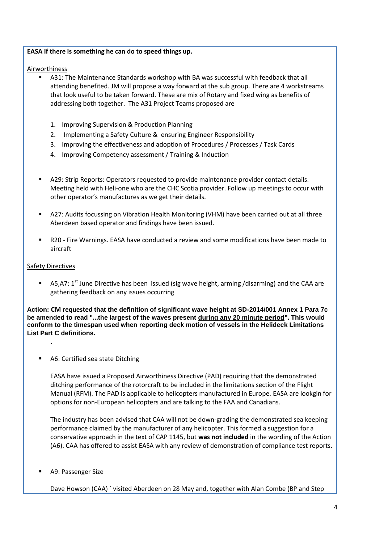#### **EASA if there is something he can do to speed things up.**

Airworthiness

- A31: The Maintenance Standards workshop with BA was successful with feedback that all attending benefited. JM will propose a way forward at the sub group. There are 4 workstreams that look useful to be taken forward. These are mix of Rotary and fixed wing as benefits of addressing both together. The A31 Project Teams proposed are
	- 1. Improving Supervision & Production Planning
	- 2. Implementing a Safety Culture & ensuring Engineer Responsibility
	- 3. Improving the effectiveness and adoption of Procedures / Processes / Task Cards
	- 4. Improving Competency assessment / Training & Induction
- A29: Strip Reports: Operators requested to provide maintenance provider contact details. Meeting held with Heli-one who are the CHC Scotia provider. Follow up meetings to occur with other operator's manufactures as we get their details.
- A27: Audits focussing on Vibration Health Monitoring (VHM) have been carried out at all three Aberdeen based operator and findings have been issued.
- R20 Fire Warnings. EASA have conducted a review and some modifications have been made to aircraft

#### **Safety Directives**

**.** 

A5,A7:  $1^{st}$  June Directive has been issued (sig wave height, arming /disarming) and the CAA are gathering feedback on any issues occurring

**Action: CM requested that the definition of significant wave height at SD-2014/001 Annex 1 Para 7c be amended to read "...the largest of the waves present during any 20 minute period". This would conform to the timespan used when reporting deck motion of vessels in the Helideck Limitations List Part C definitions.**

A6: Certified sea state Ditching

EASA have issued a Proposed Airworthiness Directive (PAD) requiring that the demonstrated ditching performance of the rotorcraft to be included in the limitations section of the Flight Manual (RFM). The PAD is applicable to helicopters manufactured in Europe. EASA are lookgin for options for non-European helicopters and are talking to the FAA and Canadians.

The industry has been advised that CAA will not be down-grading the demonstrated sea keeping performance claimed by the manufacturer of any helicopter. This formed a suggestion for a conservative approach in the text of CAP 1145, but **was not included** in the wording of the Action (A6). CAA has offered to assist EASA with any review of demonstration of compliance test reports.

A9: Passenger Size

Dave Howson (CAA) ` visited Aberdeen on 28 May and, together with Alan Combe (BP and Step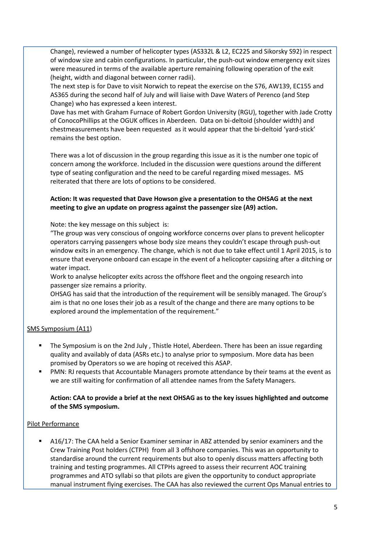Change), reviewed a number of helicopter types (AS332L & L2, EC225 and Sikorsky S92) in respect of window size and cabin configurations. In particular, the push-out window emergency exit sizes were measured in terms of the available aperture remaining following operation of the exit (height, width and diagonal between corner radii).

The next step is for Dave to visit Norwich to repeat the exercise on the S76, AW139, EC155 and AS365 during the second half of July and will liaise with Dave Waters of Perenco (and Step Change) who has expressed a keen interest.

Dave has met with Graham Furnace of Robert Gordon University (RGU), together with Jade Crotty of ConocoPhillips at the OGUK offices in Aberdeen. Data on bi-deltoid (shoulder width) and chestmeasurements have been requested as it would appear that the bi-deltoid 'yard-stick' remains the best option.

There was a lot of discussion in the group regarding this issue as it is the number one topic of concern among the workforce. Included in the discussion were questions around the different type of seating configuration and the need to be careful regarding mixed messages. MS reiterated that there are lots of options to be considered.

#### **Action: It was requested that Dave Howson give a presentation to the OHSAG at the next meeting to give an update on progress against the passenger size (A9) action.**

Note: the key message on this subject is:

"The group was very conscious of ongoing workforce concerns over plans to prevent helicopter operators carrying passengers whose body size means they couldn't escape through push-out window exits in an emergency. The change, which is not due to take effect until 1 April 2015, is to ensure that everyone onboard can escape in the event of a helicopter capsizing after a ditching or water impact.

Work to analyse helicopter exits across the offshore fleet and the ongoing research into passenger size remains a priority.

OHSAG has said that the introduction of the requirement will be sensibly managed. The Group's aim is that no one loses their job as a result of the change and there are many options to be explored around the implementation of the requirement."

#### SMS Symposium (A11)

- The Symposium is on the 2nd July , Thistle Hotel, Aberdeen. There has been an issue regarding quality and availably of data (ASRs etc.) to analyse prior to symposium. More data has been promised by Operators so we are hoping ot received this ASAP.
- PMN: RJ requests that Accountable Managers promote attendance by their teams at the event as we are still waiting for confirmation of all attendee names from the Safety Managers.

#### **Action: CAA to provide a brief at the next OHSAG as to the key issues highlighted and outcome of the SMS symposium.**

#### Pilot Performance

 A16/17: The CAA held a Senior Examiner seminar in ABZ attended by senior examiners and the Crew Training Post holders (CTPH) from all 3 offshore companies. This was an opportunity to standardise around the current requirements but also to openly discuss matters affecting both training and testing programmes. All CTPHs agreed to assess their recurrent AOC training programmes and ATO syllabi so that pilots are given the opportunity to conduct appropriate manual instrument flying exercises. The CAA has also reviewed the current Ops Manual entries to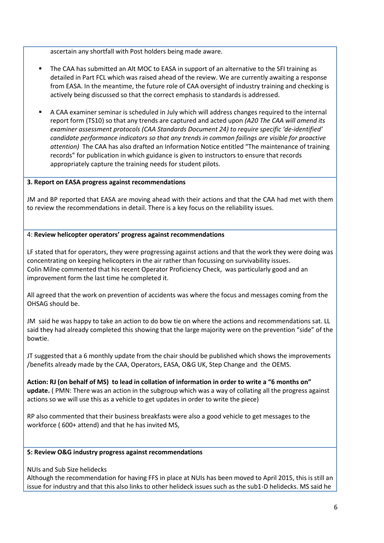ascertain any shortfall with Post holders being made aware.

- The CAA has submitted an Alt MOC to EASA in support of an alternative to the SFI training as detailed in Part FCL which was raised ahead of the review. We are currently awaiting a response from EASA. In the meantime, the future role of CAA oversight of industry training and checking is actively being discussed so that the correct emphasis to standards is addressed.
- A CAA examiner seminar is scheduled in July which will address changes required to the internal report form (TS10) so that any trends are captured and acted upon *(A20 The CAA will amend its examiner assessment protocols (CAA Standards Document 24) to require specific 'de-identified' candidate performance indicators so that any trends in common failings are visible for proactive attention)* The CAA has also drafted an Information Notice entitled "The maintenance of training records" for publication in which guidance is given to instructors to ensure that records appropriately capture the training needs for student pilots.

#### **3. Report on EASA progress against recommendations**

JM and BP reported that EASA are moving ahead with their actions and that the CAA had met with them to review the recommendations in detail. There is a key focus on the reliability issues.

#### 4: **Review helicopter operators' progress against recommendations**

LF stated that for operators, they were progressing against actions and that the work they were doing was concentrating on keeping helicopters in the air rather than focussing on survivability issues. Colin Milne commented that his recent Operator Proficiency Check, was particularly good and an improvement form the last time he completed it.

All agreed that the work on prevention of accidents was where the focus and messages coming from the OHSAG should be.

JM said he was happy to take an action to do bow tie on where the actions and recommendations sat. LL said they had already completed this showing that the large majority were on the prevention "side" of the bowtie.

JT suggested that a 6 monthly update from the chair should be published which shows the improvements /benefits already made by the CAA, Operators, EASA, O&G UK, Step Change and the OEMS.

**Action: RJ (on behalf of MS) to lead in collation of information in order to write a "6 months on" update.** ( PMN: There was an action in the subgroup which was a way of collating all the progress against actions so we will use this as a vehicle to get updates in order to write the piece)

RP also commented that their business breakfasts were also a good vehicle to get messages to the workforce ( 600+ attend) and that he has invited MS,

#### **5: Review O&G industry progress against recommendations**

NUIs and Sub Size helidecks

Although the recommendation for having FFS in place at NUIs has been moved to April 2015, this is still an issue for industry and that this also links to other helideck issues such as the sub1-D helidecks. MS said he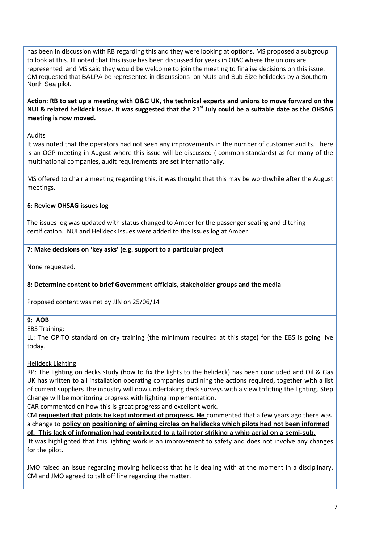has been in discussion with RB regarding this and they were looking at options. MS proposed a subgroup to look at this. JT noted that this issue has been discussed for years in OIAC where the unions are represented and MS said they would be welcome to join the meeting to finalise decisions on this issue. CM requested that BALPA be represented in discussions on NUIs and Sub Size helidecks by a Southern North Sea pilot.

**Action: RB to set up a meeting with O&G UK, the technical experts and unions to move forward on the NUI & related helideck issue. It was suggested that the 21st July could be a suitable date as the OHSAG meeting is now moved.** 

#### Audits

It was noted that the operators had not seen any improvements in the number of customer audits. There is an OGP meeting in August where this issue will be discussed ( common standards) as for many of the multinational companies, audit requirements are set internationally.

MS offered to chair a meeting regarding this, it was thought that this may be worthwhile after the August meetings.

#### **6: Review OHSAG issues log**

The issues log was updated with status changed to Amber for the passenger seating and ditching certification. NUI and Helideck issues were added to the Issues log at Amber.

#### **7: Make decisions on 'key asks' (e.g. support to a particular project**

None requested.

#### **8: Determine content to brief Government officials, stakeholder groups and the media**

Proposed content was net by JJN on 25/06/14

#### **9: AOB**

#### EBS Training:

LL: The OPITO standard on dry training (the minimum required at this stage) for the EBS is going live today.

#### Helideck Lighting

RP: The lighting on decks study (how to fix the lights to the helideck) has been concluded and Oil & Gas UK has written to all installation operating companies outlining the actions required, together with a list of current suppliers The industry will now undertaking deck surveys with a view tofitting the lighting. Step Change will be monitoring progress with lighting implementation.

CAR commented on how this is great progress and excellent work.

CM **requested that pilots be kept informed of progress. He** commented that a few years ago there was a change to **policy on positioning of aiming circles on helidecks which pilots had not been informed of. This lack of information had contributed to a tail rotor striking a whip aerial on a semi-sub.**

It was highlighted that this lighting work is an improvement to safety and does not involve any changes for the pilot.

JMO raised an issue regarding moving helidecks that he is dealing with at the moment in a disciplinary. CM and JMO agreed to talk off line regarding the matter.